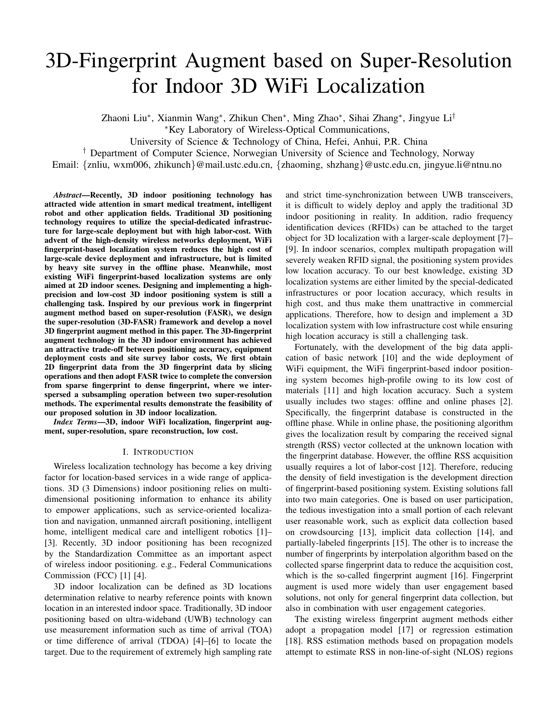# 3D-Fingerprint Augment based on Super-Resolution for Indoor 3D WiFi Localization

Zhaoni Liu<sup>∗</sup>, Xianmin Wang<sup>∗</sup>, Zhikun Chen<sup>∗</sup>, Ming Zhao<sup>∗</sup>, Sihai Zhang<sup>∗</sup>, Jingyue Li<sup>†</sup>

<sup>∗</sup>Key Laboratory of Wireless-Optical Communications,

University of Science & Technology of China, Hefei, Anhui, P.R. China

† Department of Computer Science, Norwegian University of Science and Technology, Norway

Email: {znliu, wxm006, zhikunch}@mail.ustc.edu.cn, {zhaoming, shzhang}@ustc.edu.cn, jingyue.li@ntnu.no

*Abstract*—Recently, 3D indoor positioning technology has attracted wide attention in smart medical treatment, intelligent robot and other application fields. Traditional 3D positioning technology requires to utilize the special-dedicated infrastructure for large-scale deployment but with high labor-cost. With advent of the high-density wireless networks deployment, WiFi fingerprint-based localization system reduces the high cost of large-scale device deployment and infrastructure, but is limited by heavy site survey in the offline phase. Meanwhile, most existing WiFi fingerprint-based localization systems are only aimed at 2D indoor scenes. Designing and implementing a highprecision and low-cost 3D indoor positioning system is still a challenging task. Inspired by our previous work in fingerprint augment method based on super-resolution (FASR), we design the super-resolution (3D-FASR) framework and develop a novel 3D fingerprint augment method in this paper. The 3D-fingerprint augment technology in the 3D indoor environment has achieved an attractive trade-off between positioning accuracy, equipment deployment costs and site survey labor costs, We first obtain 2D fingerprint data from the 3D fingerprint data by slicing operations and then adopt FASR twice to complete the conversion from sparse fingerprint to dense fingerprint, where we interspersed a subsampling operation between two super-resolution methods. The experimental results demonstrate the feasibility of our proposed solution in 3D indoor localization.

*Index Terms*—3D, indoor WiFi localization, fingerprint augment, super-resolution, spare reconstruction, low cost.

## I. INTRODUCTION

Wireless localization technology has become a key driving factor for location-based services in a wide range of applications. 3D (3 Dimensions) indoor positioning relies on multidimensional positioning information to enhance its ability to empower applications, such as service-oriented localization and navigation, unmanned aircraft positioning, intelligent home, intelligent medical care and intelligent robotics [1]– [3]. Recently, 3D indoor positioning has been recognized by the Standardization Committee as an important aspect of wireless indoor positioning. e.g., Federal Communications Commission (FCC) [1] [4].

3D indoor localization can be defined as 3D locations determination relative to nearby reference points with known location in an interested indoor space. Traditionally, 3D indoor positioning based on ultra-wideband (UWB) technology can use measurement information such as time of arrival (TOA) or time difference of arrival (TDOA) [4]–[6] to locate the target. Due to the requirement of extremely high sampling rate

and strict time-synchronization between UWB transceivers, it is difficult to widely deploy and apply the traditional 3D indoor positioning in reality. In addition, radio frequency identification devices (RFIDs) can be attached to the target object for 3D localization with a larger-scale deployment [7]– [9]. In indoor scenarios, complex multipath propagation will severely weaken RFID signal, the positioning system provides low location accuracy. To our best knowledge, existing 3D localization systems are either limited by the special-dedicated infrastructures or poor location accuracy, which results in high cost, and thus make them unattractive in commercial applications. Therefore, how to design and implement a 3D localization system with low infrastructure cost while ensuring high location accuracy is still a challenging task.

Fortunately, with the development of the big data application of basic network [10] and the wide deployment of WiFi equipment, the WiFi fingerprint-based indoor positioning system becomes high-profile owing to its low cost of materials [11] and high location accuracy. Such a system usually includes two stages: offline and online phases [2]. Specifically, the fingerprint database is constructed in the offline phase. While in online phase, the positioning algorithm gives the localization result by comparing the received signal strength (RSS) vector collected at the unknown location with the fingerprint database. However, the offline RSS acquisition usually requires a lot of labor-cost [12]. Therefore, reducing the density of field investigation is the development direction of fingerprint-based positioning system. Existing solutions fall into two main categories. One is based on user participation, the tedious investigation into a small portion of each relevant user reasonable work, such as explicit data collection based on crowdsourcing [13], implicit data collection [14], and partially-labeled fingerprints [15]. The other is to increase the number of fingerprints by interpolation algorithm based on the collected sparse fingerprint data to reduce the acquisition cost, which is the so-called fingerprint augment [16]. Fingerprint augment is used more widely than user engagement based solutions, not only for general fingerprint data collection, but also in combination with user engagement categories.

The existing wireless fingerprint augment methods either adopt a propagation model [17] or regression estimation [18]. RSS estimation methods based on propagation models attempt to estimate RSS in non-line-of-sight (NLOS) regions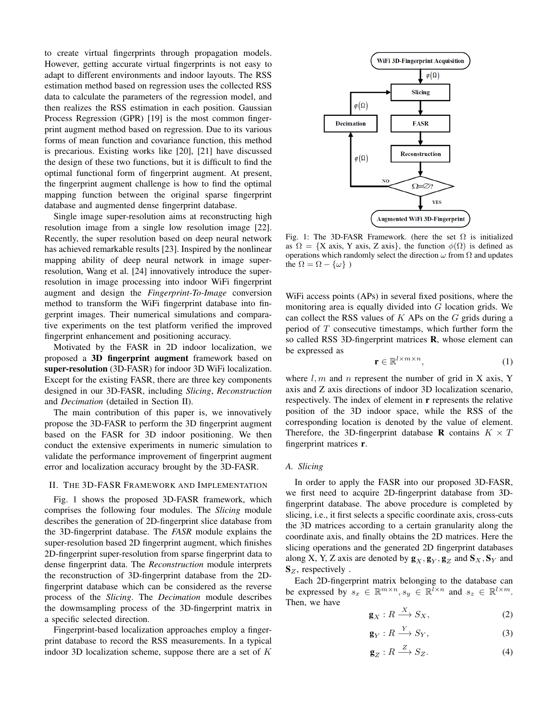to create virtual fingerprints through propagation models. However, getting accurate virtual fingerprints is not easy to adapt to different environments and indoor layouts. The RSS estimation method based on regression uses the collected RSS data to calculate the parameters of the regression model, and then realizes the RSS estimation in each position. Gaussian Process Regression (GPR) [19] is the most common fingerprint augment method based on regression. Due to its various forms of mean function and covariance function, this method is precarious. Existing works like [20], [21] have discussed the design of these two functions, but it is difficult to find the optimal functional form of fingerprint augment. At present, the fingerprint augment challenge is how to find the optimal mapping function between the original sparse fingerprint database and augmented dense fingerprint database.

Single image super-resolution aims at reconstructing high resolution image from a single low resolution image [22]. Recently, the super resolution based on deep neural network has achieved remarkable results [23]. Inspired by the nonlinear mapping ability of deep neural network in image superresolution, Wang et al. [24] innovatively introduce the superresolution in image processing into indoor WiFi fingerprint augment and design the *Fingerprint-To-Image* conversion method to transform the WiFi fingerprint database into fingerprint images. Their numerical simulations and comparative experiments on the test platform verified the improved fingerprint enhancement and positioning accuracy.

Motivated by the FASR in 2D indoor localization, we proposed a 3D fingerprint augment framework based on super-resolution (3D-FASR) for indoor 3D WiFi localization. Except for the existing FASR, there are three key components designed in our 3D-FASR, including *Slicing*, *Reconstruction* and *Decimation* (detailed in Section II).

The main contribution of this paper is, we innovatively propose the 3D-FASR to perform the 3D fingerprint augment based on the FASR for 3D indoor positioning. We then conduct the extensive experiments in numeric simulation to validate the performance improvement of fingerprint augment error and localization accuracy brought by the 3D-FASR.

## II. THE 3D-FASR FRAMEWORK AND IMPLEMENTATION

Fig. 1 shows the proposed 3D-FASR framework, which comprises the following four modules. The *Slicing* module describes the generation of 2D-fingerprint slice database from the 3D-fingerprint database. The *FASR* module explains the super-resolution based 2D fingerprint augment, which finishes 2D-fingerprint super-resolution from sparse fingerprint data to dense fingerprint data. The *Reconstruction* module interprets the reconstruction of 3D-fingerprint database from the 2Dfingerprint database which can be considered as the reverse process of the *Slicing*. The *Decimation* module describes the dowmsampling process of the 3D-fingerprint matrix in a specific selected direction.

Fingerprint-based localization approaches employ a fingerprint database to record the RSS measurements. In a typical indoor 3D localization scheme, suppose there are a set of  $K$ 



Fig. 1: The 3D-FASR Framework. (here the set  $\Omega$  is initialized as  $\Omega = \{X \text{ axis}, Y \text{ axis}, Z \text{ axis}\}\$ , the function  $\phi(\Omega)$  is defined as operations which randomly select the direction  $\omega$  from  $\Omega$  and updates the  $\Omega = \Omega - {\omega}$ 

WiFi access points (APs) in several fixed positions, where the monitoring area is equally divided into G location grids. We can collect the RSS values of  $K$  APs on the  $G$  grids during a period of  $T$  consecutive timestamps, which further form the so called RSS 3D-fingerprint matrices R, whose element can be expressed as

$$
\mathbf{r} \in \mathbb{R}^{l \times m \times n},\tag{1}
$$

where  $l, m$  and n represent the number of grid in X axis, Y axis and Z axis directions of indoor 3D localization scenario, respectively. The index of element in **r** represents the relative position of the 3D indoor space, while the RSS of the corresponding location is denoted by the value of element. Therefore, the 3D-fingerprint database **R** contains  $K \times T$ fingerprint matrices r.

# *A. Slicing*

In order to apply the FASR into our proposed 3D-FASR, we first need to acquire 2D-fingerprint database from 3Dfingerprint database. The above procedure is completed by slicing, i.e., it first selects a specific coordinate axis, cross-cuts the 3D matrices according to a certain granularity along the coordinate axis, and finally obtains the 2D matrices. Here the slicing operations and the generated 2D fingerprint databases along X, Y, Z axis are denoted by  $\mathbf{g}_X, \mathbf{g}_Y, \mathbf{g}_Z$  and  $\mathbf{S}_X, \mathbf{S}_Y$  and  $S_z$ , respectively.

Each 2D-fingerprint matrix belonging to the database can be expressed by  $s_x \in \mathbb{R}^{m \times n}$ ,  $s_y \in \mathbb{R}^{\bar{l} \times n}$  and  $s_z \in \mathbb{R}^{\bar{l} \times m}$ . Then, we have

$$
\mathbf{g}_X: R \xrightarrow{X} S_X,\tag{2}
$$

$$
\mathbf{g}_Y: R \xrightarrow{Y} S_Y,\tag{3}
$$

$$
\mathbf{g}_Z: R \xrightarrow{Z} S_Z. \tag{4}
$$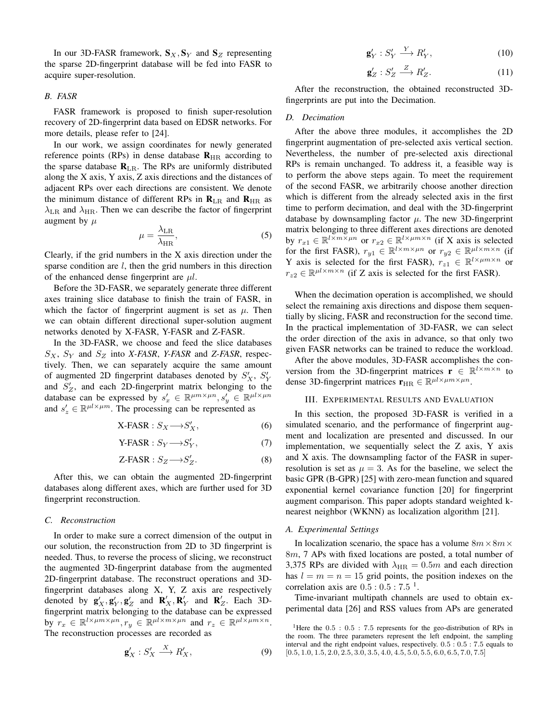In our 3D-FASR framework,  $S_X, S_Y$  and  $S_Z$  representing the sparse 2D-fingerprint database will be fed into FASR to acquire super-resolution.

# *B. FASR*

FASR framework is proposed to finish super-resolution recovery of 2D-fingerprint data based on EDSR networks. For more details, please refer to [24].

In our work, we assign coordinates for newly generated reference points (RPs) in dense database  $\mathbf{R}_{HR}$  according to the sparse database  $\mathbf{R}_{LR}$ . The RPs are uniformly distributed along the X axis, Y axis, Z axis directions and the distances of adjacent RPs over each directions are consistent. We denote the minimum distance of different RPs in  $\mathbf{R}_{LR}$  and  $\mathbf{R}_{HR}$  as  $\lambda_{LR}$  and  $\lambda_{HR}$ . Then we can describe the factor of fingerprint augment by  $\mu$ 

$$
\mu = \frac{\lambda_{\rm LR}}{\lambda_{\rm HR}},\tag{5}
$$

Clearly, if the grid numbers in the X axis direction under the sparse condition are  $l$ , then the grid numbers in this direction of the enhanced dense fingerprint are  $\mu l$ .

Before the 3D-FASR, we separately generate three different axes training slice database to finish the train of FASR, in which the factor of fingerprint augment is set as  $\mu$ . Then we can obtain different directional super-solution augment networks denoted by X-FASR, Y-FASR and Z-FASR.

In the 3D-FASR, we choose and feed the slice databases  $S_X$ ,  $S_Y$  and  $S_Z$  into *X-FASR*, *Y-FASR* and *Z-FASR*, respectively. Then, we can separately acquire the same amount of augmented 2D fingerprint databases denoted by  $S'_X$ ,  $S'_Y$ and  $S'_Z$ , and each 2D-fingerprint matrix belonging to the database can be expressed by  $s'_x \in \mathbb{R}^{\mu m \times \mu n}, s'_y \in \mathbb{R}^{\mu l \times \mu n}$ and  $s'_z \in \mathbb{R}^{\mu l \times \mu m}$ . The processing can be represented as

$$
X-FASR: S_X \longrightarrow S'_X, \tag{6}
$$

$$
Y-FASR: S_Y \longrightarrow S'_Y,\tag{7}
$$

$$
Z\text{-FASR}: S_Z \longrightarrow S'_Z. \tag{8}
$$

After this, we can obtain the augmented 2D-fingerprint databases along different axes, which are further used for 3D fingerprint reconstruction.

## *C. Reconstruction*

In order to make sure a correct dimension of the output in our solution, the reconstruction from 2D to 3D fingerprint is needed. Thus, to reverse the process of slicing, we reconstruct the augmented 3D-fingerprint database from the augmented 2D-fingerprint database. The reconstruct operations and 3Dfingerprint databases along X, Y, Z axis are respectively denoted by  $\mathbf{g}'_X$ ,  $\mathbf{g}'_Y$ ,  $\mathbf{g}'_Z$  and  $\mathbf{R}'_X$ ,  $\mathbf{R}'_Y$  and  $\mathbf{R}'_Z$ . Each 3Dfingerprint matrix belonging to the database can be expressed by  $r_x \in \mathbb{R}^{l \times \mu m \times \mu n}, r_y \in \mathbb{R}^{\mu l \times m \times \mu n}$  and  $r_z \in \mathbb{R}^{\mu l \times \mu m \times n}$ . The reconstruction processes are recorded as

$$
\mathbf{g}'_X : S'_X \xrightarrow{X} R'_X,\tag{9}
$$

$$
\mathbf{g}'_Y : S'_Y \xrightarrow{Y} R'_Y,\tag{10}
$$

$$
\mathbf{g}'_Z : S'_Z \xrightarrow{Z} R'_Z. \tag{11}
$$

After the reconstruction, the obtained reconstructed 3Dfingerprints are put into the Decimation.

## *D. Decimation*

After the above three modules, it accomplishes the 2D fingerprint augmentation of pre-selected axis vertical section. Nevertheless, the number of pre-selected axis directional RPs is remain unchanged. To address it, a feasible way is to perform the above steps again. To meet the requirement of the second FASR, we arbitrarily choose another direction which is different from the already selected axis in the first time to perform decimation, and deal with the 3D-fingerprint database by downsampling factor  $\mu$ . The new 3D-fingerprint matrix belonging to three different axes directions are denoted by  $r_{x1} \in \mathbb{R}^{l \times m \times \mu n}$  or  $r_{x2} \in \mathbb{R}^{l \times \mu m \times n}$  (if X axis is selected for the first FASR),  $r_{y1} \in \mathbb{R}^{l \times m \times \mu n}$  or  $r_{y2} \in \mathbb{R}^{\mu l \times m \times n}$  (if Y axis is selected for the first FASR),  $r_{z1} \in \mathbb{R}^{l \times \mu m \times n}$  or  $r_{z2} \in \mathbb{R}^{\mu l \times m \times n}$  (if Z axis is selected for the first FASR).

When the decimation operation is accomplished, we should select the remaining axis directions and dispose them sequentially by slicing, FASR and reconstruction for the second time. In the practical implementation of 3D-FASR, we can select the order direction of the axis in advance, so that only two given FASR networks can be trained to reduce the workload.

After the above modules, 3D-FASR accomplishes the conversion from the 3D-fingerprint matrices  $\mathbf{r} \in \mathbb{R}^{l \times m \times n}$  to dense 3D-fingerprint matrices  $\mathbf{r}_{HR} \in \mathbb{R}^{\mu l \times \mu m \times \mu n}$ .

# III. EXPERIMENTAL RESULTS AND EVALUATION

In this section, the proposed 3D-FASR is verified in a simulated scenario, and the performance of fingerprint augment and localization are presented and discussed. In our implementation, we sequentially select the Z axis, Y axis and X axis. The downsampling factor of the FASR in superresolution is set as  $\mu = 3$ . As for the baseline, we select the basic GPR (B-GPR) [25] with zero-mean function and squared exponential kernel covariance function [20] for fingerprint augment comparison. This paper adopts standard weighted knearest neighbor (WKNN) as localization algorithm [21].

#### *A. Experimental Settings*

In localization scenario, the space has a volume  $8m \times 8m \times$ 8m, 7 APs with fixed locations are posted, a total number of 3,375 RPs are divided with  $\lambda_{HR} = 0.5m$  and each direction has  $l = m = n = 15$  grid points, the position indexes on the correlation axis are  $0.5:0.5:7.5<sup>1</sup>$ .

Time-invariant multipath channels are used to obtain experimental data [26] and RSS values from APs are generated

<sup>&</sup>lt;sup>1</sup>Here the  $0.5 : 0.5 : 7.5$  represents for the geo-distribution of RPs in the room. The three parameters represent the left endpoint, the sampling interval and the right endpoint values, respectively. 0.5 : 0.5 : 7.5 equals to  $[0.5, 1.0, 1.5, 2.0, 2.5, 3.0, 3.5, 4.0, 4.5, 5.0, 5.5, 6.0, 6.5, 7.0, 7.5]$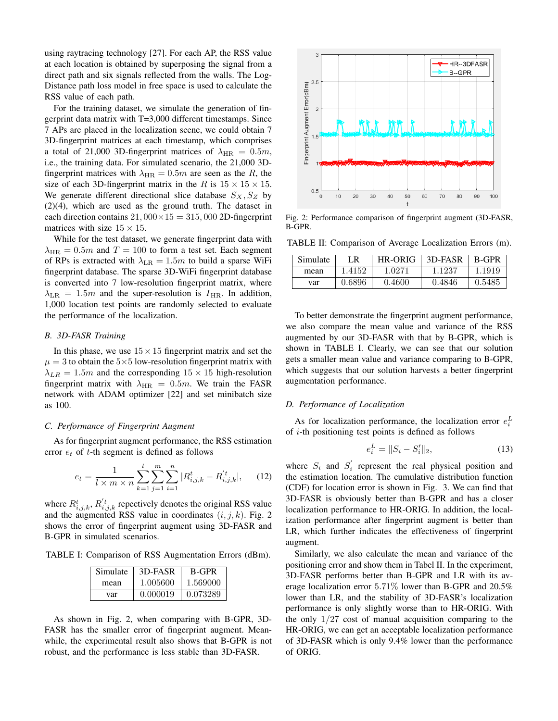using raytracing technology [27]. For each AP, the RSS value at each location is obtained by superposing the signal from a direct path and six signals reflected from the walls. The Log-Distance path loss model in free space is used to calculate the RSS value of each path.

For the training dataset, we simulate the generation of fingerprint data matrix with T=3,000 different timestamps. Since 7 APs are placed in the localization scene, we could obtain 7 3D-fingerprint matrices at each timestamp, which comprises a total of 21,000 3D-fingerprint matrices of  $\lambda_{HR} = 0.5m$ , i.e., the training data. For simulated scenario, the 21,000 3Dfingerprint matrices with  $\lambda_{HR} = 0.5m$  are seen as the R, the size of each 3D-fingerprint matrix in the R is  $15 \times 15 \times 15$ . We generate different directional slice database  $S_X, S_Z$  by (2)(4), which are used as the ground truth. The dataset in each direction contains  $21,000 \times 15 = 315,000$  2D-fingerprint matrices with size  $15 \times 15$ .

While for the test dataset, we generate fingerprint data with  $\lambda_{\text{HR}} = 0.5m$  and  $T = 100$  to form a test set. Each segment of RPs is extracted with  $\lambda_{LR} = 1.5m$  to build a sparse WiFi fingerprint database. The sparse 3D-WiFi fingerprint database is converted into 7 low-resolution fingerprint matrix, where  $\lambda_{LR} = 1.5m$  and the super-resolution is  $I_{HR}$ . In addition, 1,000 location test points are randomly selected to evaluate the performance of the localization.

## *B. 3D-FASR Training*

In this phase, we use  $15 \times 15$  fingerprint matrix and set the  $\mu = 3$  to obtain the  $5 \times 5$  low-resolution fingerprint matrix with  $\lambda_{LR} = 1.5m$  and the corresponding  $15 \times 15$  high-resolution fingerprint matrix with  $\lambda_{HR} = 0.5m$ . We train the FASR network with ADAM optimizer [22] and set minibatch size as 100.

## *C. Performance of Fingerprint Augment*

As for fingerprint augment performance, the RSS estimation error  $e_t$  of  $t$ -th segment is defined as follows

$$
e_t = \frac{1}{l \times m \times n} \sum_{k=1}^{l} \sum_{j=1}^{m} \sum_{i=1}^{n} |R^t_{i,j,k} - R^{t}_{i,j,k}|, \qquad (12)
$$

where  $R_{i,j,k}^t$ ,  $R_{i,j,k}^{'t}$  repectively denotes the original RSS value and the augmented RSS value in coordinates  $(i, j, k)$ . Fig. 2 shows the error of fingerprint augment using 3D-FASR and B-GPR in simulated scenarios.

TABLE I: Comparison of RSS Augmentation Errors (dBm).

| Simulate | 3D-FASR  | B-GPR    |
|----------|----------|----------|
| mean     | 1.005600 | 1.569000 |
| var      | 0.000019 | 0.073289 |

As shown in Fig. 2, when comparing with B-GPR, 3D-FASR has the smaller error of fingerprint augment. Meanwhile, the experimental result also shows that B-GPR is not robust, and the performance is less stable than 3D-FASR.



Fig. 2: Performance comparison of fingerprint augment (3D-FASR, B-GPR.

TABLE II: Comparison of Average Localization Errors (m).

| Simulate | -R     | <b>HR-ORIG</b> | 3D-FASR | <b>B-GPR</b> |
|----------|--------|----------------|---------|--------------|
| mean     | 1.4152 | 1.0271         | 1.1237  | 1.1919       |
| var      | 0.6896 | 0.4600         | 0.4846  | 0.5485       |

To better demonstrate the fingerprint augment performance, we also compare the mean value and variance of the RSS augmented by our 3D-FASR with that by B-GPR, which is shown in TABLE I. Clearly, we can see that our solution gets a smaller mean value and variance comparing to B-GPR, which suggests that our solution harvests a better fingerprint augmentation performance.

## *D. Performance of Localization*

As for localization performance, the localization error  $e_i^L$ of i-th positioning test points is defined as follows

$$
e_i^L = ||S_i - S_i'||_2,\t\t(13)
$$

where  $S_i$  and  $S'_i$  represent the real physical position and the estimation location. The cumulative distribution function (CDF) for location error is shown in Fig. 3. We can find that 3D-FASR is obviously better than B-GPR and has a closer localization performance to HR-ORIG. In addition, the localization performance after fingerprint augment is better than LR, which further indicates the effectiveness of fingerprint augment.

Similarly, we also calculate the mean and variance of the positioning error and show them in Tabel II. In the experiment, 3D-FASR performs better than B-GPR and LR with its average localization error 5.71% lower than B-GPR and 20.5% lower than LR, and the stability of 3D-FASR's localization performance is only slightly worse than to HR-ORIG. With the only  $1/27$  cost of manual acquisition comparing to the HR-ORIG, we can get an acceptable localization performance of 3D-FASR which is only 9.4% lower than the performance of ORIG.